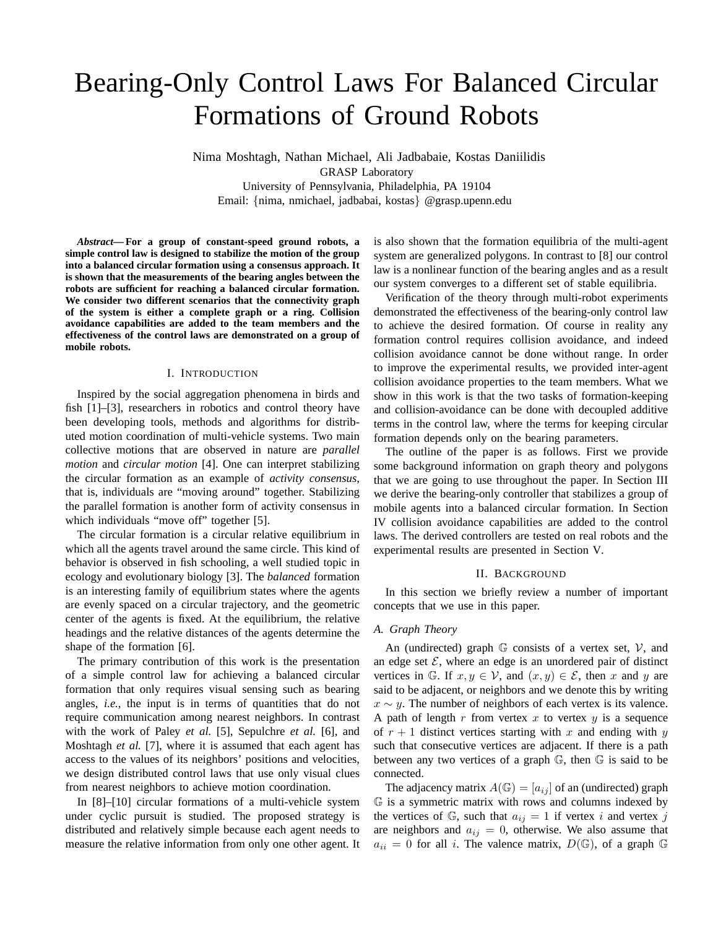# Bearing-Only Control Laws For Balanced Circular Formations of Ground Robots

Nima Moshtagh, Nathan Michael, Ali Jadbabaie, Kostas Daniilidis GRASP Laboratory University of Pennsylvania, Philadelphia, PA 19104 Email: {nima, nmichael, jadbabai, kostas} @grasp.upenn.edu

*Abstract***— For a group of constant-speed ground robots, a simple control law is designed to stabilize the motion of the group into a balanced circular formation using a consensus approach. It is shown that the measurements of the bearing angles between the robots are sufficient for reaching a balanced circular formation. We consider two different scenarios that the connectivity graph of the system is either a complete graph or a ring. Collision avoidance capabilities are added to the team members and the effectiveness of the control laws are demonstrated on a group of mobile robots.**

### I. INTRODUCTION

Inspired by the social aggregation phenomena in birds and fish [1]–[3], researchers in robotics and control theory have been developing tools, methods and algorithms for distributed motion coordination of multi-vehicle systems. Two main collective motions that are observed in nature are *parallel motion* and *circular motion* [4]. One can interpret stabilizing the circular formation as an example of *activity consensus*, that is, individuals are "moving around" together. Stabilizing the parallel formation is another form of activity consensus in which individuals "move off" together [5].

The circular formation is a circular relative equilibrium in which all the agents travel around the same circle. This kind of behavior is observed in fish schooling, a well studied topic in ecology and evolutionary biology [3]. The *balanced* formation is an interesting family of equilibrium states where the agents are evenly spaced on a circular trajectory, and the geometric center of the agents is fixed. At the equilibrium, the relative headings and the relative distances of the agents determine the shape of the formation [6].

The primary contribution of this work is the presentation of a simple control law for achieving a balanced circular formation that only requires visual sensing such as bearing angles, *i.e.,* the input is in terms of quantities that do not require communication among nearest neighbors. In contrast with the work of Paley *et al.* [5], Sepulchre *et al.* [6], and Moshtagh *et al.* [7], where it is assumed that each agent has access to the values of its neighbors' positions and velocities, we design distributed control laws that use only visual clues from nearest neighbors to achieve motion coordination.

In [8]–[10] circular formations of a multi-vehicle system under cyclic pursuit is studied. The proposed strategy is distributed and relatively simple because each agent needs to measure the relative information from only one other agent. It is also shown that the formation equilibria of the multi-agent system are generalized polygons. In contrast to [8] our control law is a nonlinear function of the bearing angles and as a result our system converges to a different set of stable equilibria.

Verification of the theory through multi-robot experiments demonstrated the effectiveness of the bearing-only control law to achieve the desired formation. Of course in reality any formation control requires collision avoidance, and indeed collision avoidance cannot be done without range. In order to improve the experimental results, we provided inter-agent collision avoidance properties to the team members. What we show in this work is that the two tasks of formation-keeping and collision-avoidance can be done with decoupled additive terms in the control law, where the terms for keeping circular formation depends only on the bearing parameters.

The outline of the paper is as follows. First we provide some background information on graph theory and polygons that we are going to use throughout the paper. In Section III we derive the bearing-only controller that stabilizes a group of mobile agents into a balanced circular formation. In Section IV collision avoidance capabilities are added to the control laws. The derived controllers are tested on real robots and the experimental results are presented in Section V.

#### II. BACKGROUND

In this section we briefly review a number of important concepts that we use in this paper.

## *A. Graph Theory*

An (undirected) graph  $\mathbb G$  consists of a vertex set,  $\mathcal V$ , and an edge set  $\mathcal{E}$ , where an edge is an unordered pair of distinct vertices in  $\mathbb{G}$ . If  $x, y \in \mathcal{V}$ , and  $(x, y) \in \mathcal{E}$ , then x and y are said to be adjacent, or neighbors and we denote this by writing  $x \sim y$ . The number of neighbors of each vertex is its valence. A path of length r from vertex x to vertex y is a sequence of  $r + 1$  distinct vertices starting with x and ending with y such that consecutive vertices are adjacent. If there is a path between any two vertices of a graph G, then G is said to be connected.

The adjacency matrix  $A(\mathbb{G}) = [a_{ij}]$  of an (undirected) graph G is a symmetric matrix with rows and columns indexed by the vertices of  $\mathbb{G}$ , such that  $a_{ij} = 1$  if vertex i and vertex j are neighbors and  $a_{ij} = 0$ , otherwise. We also assume that  $a_{ii} = 0$  for all i. The valence matrix,  $D(\mathbb{G})$ , of a graph  $\mathbb{G}$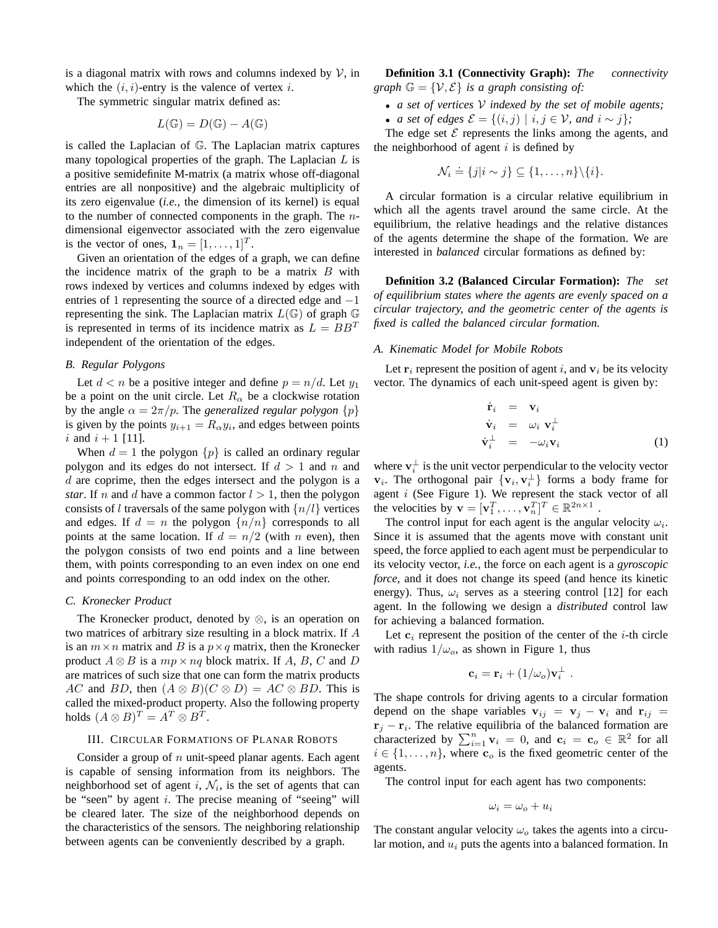is a diagonal matrix with rows and columns indexed by  $V$ , in which the  $(i, i)$ -entry is the valence of vertex i.

The symmetric singular matrix defined as:

$$
L(\mathbb{G}) = D(\mathbb{G}) - A(\mathbb{G})
$$

is called the Laplacian of G. The Laplacian matrix captures many topological properties of the graph. The Laplacian  $L$  is a positive semidefinite M-matrix (a matrix whose off-diagonal entries are all nonpositive) and the algebraic multiplicity of its zero eigenvalue (*i.e.,* the dimension of its kernel) is equal to the number of connected components in the graph. The ndimensional eigenvector associated with the zero eigenvalue is the vector of ones,  $\mathbf{1}_n = [1, \dots, 1]^T$ .

Given an orientation of the edges of a graph, we can define the incidence matrix of the graph to be a matrix  $B$  with rows indexed by vertices and columns indexed by edges with entries of 1 representing the source of a directed edge and −1 representing the sink. The Laplacian matrix  $L(\mathbb{G})$  of graph  $\mathbb G$ is represented in terms of its incidence matrix as  $L = BB^T$ independent of the orientation of the edges.

## *B. Regular Polygons*

Let  $d < n$  be a positive integer and define  $p = n/d$ . Let  $y_1$ be a point on the unit circle. Let  $R_{\alpha}$  be a clockwise rotation by the angle  $\alpha = 2\pi/p$ . The *generalized regular polygon*  $\{p\}$ is given by the points  $y_{i+1} = R_{\alpha} y_i$ , and edges between points *i* and  $i + 1$  [11].

When  $d = 1$  the polygon  $\{p\}$  is called an ordinary regular polygon and its edges do not intersect. If  $d > 1$  and n and d are coprime, then the edges intersect and the polygon is a *star*. If n and d have a common factor  $l > 1$ , then the polygon consists of *l* traversals of the same polygon with  ${n/l}$  vertices and edges. If  $d = n$  the polygon  $\{n/n\}$  corresponds to all points at the same location. If  $d = n/2$  (with n even), then the polygon consists of two end points and a line between them, with points corresponding to an even index on one end and points corresponding to an odd index on the other.

# *C. Kronecker Product*

The Kronecker product, denoted by ⊗, is an operation on two matrices of arbitrary size resulting in a block matrix. If A is an  $m \times n$  matrix and B is a  $p \times q$  matrix, then the Kronecker product  $A \otimes B$  is a  $mp \times nq$  block matrix. If A, B, C and D are matrices of such size that one can form the matrix products AC and BD, then  $(A \otimes B)(C \otimes D) = AC \otimes BD$ . This is called the mixed-product property. Also the following property holds  $(A \otimes B)^T = A^T \otimes B^T$ .

## III. CIRCULAR FORMATIONS OF PLANAR ROBOTS

Consider a group of  $n$  unit-speed planar agents. Each agent is capable of sensing information from its neighbors. The neighborhood set of agent i,  $\mathcal{N}_i$ , is the set of agents that can be "seen" by agent  $i$ . The precise meaning of "seeing" will be cleared later. The size of the neighborhood depends on the characteristics of the sensors. The neighboring relationship between agents can be conveniently described by a graph.

**Definition 3.1 (Connectivity Graph):** *The connectivity graph*  $\mathbb{G} = \{V, \mathcal{E}\}\$ is a graph consisting of:

- *a set of vertices* V *indexed by the set of mobile agents;*
- *a set of edges*  $\mathcal{E} = \{(i, j) \mid i, j \in \mathcal{V}, \text{ and } i \sim j\};$

The edge set  $\mathcal E$  represents the links among the agents, and the neighborhood of agent  $i$  is defined by

$$
\mathcal{N}_i \doteq \{j|i \sim j\} \subseteq \{1, \ldots, n\} \backslash \{i\}.
$$

A circular formation is a circular relative equilibrium in which all the agents travel around the same circle. At the equilibrium, the relative headings and the relative distances of the agents determine the shape of the formation. We are interested in *balanced* circular formations as defined by:

**Definition 3.2 (Balanced Circular Formation):** *The set of equilibrium states where the agents are evenly spaced on a circular trajectory, and the geometric center of the agents is fixed is called the balanced circular formation.*

# *A. Kinematic Model for Mobile Robots*

Let  $\mathbf{r}_i$  represent the position of agent i, and  $\mathbf{v}_i$  be its velocity vector. The dynamics of each unit-speed agent is given by:

$$
\dot{\mathbf{r}}_i = \mathbf{v}_i \n\dot{\mathbf{v}}_i = \omega_i \mathbf{v}_i^{\perp} \n\dot{\mathbf{v}}_i^{\perp} = -\omega_i \mathbf{v}_i
$$
\n(1)

where  $\mathbf{v}_i^{\perp}$  is the unit vector perpendicular to the velocity vector  $v_i$ . The orthogonal pair  $\{v_i, v_i^{\perp}\}\)$  forms a body frame for agent  $i$  (See Figure 1). We represent the stack vector of all the velocities by  $\mathbf{v} = [\mathbf{v}_1^T, \dots, \mathbf{v}_n^T]^T \in \mathbb{R}^{2n \times 1}$ .

The control input for each agent is the angular velocity  $\omega_i$ . Since it is assumed that the agents move with constant unit speed, the force applied to each agent must be perpendicular to its velocity vector, *i.e.,* the force on each agent is a *gyroscopic force*, and it does not change its speed (and hence its kinetic energy). Thus,  $\omega_i$  serves as a steering control [12] for each agent. In the following we design a *distributed* control law for achieving a balanced formation.

Let  $c_i$  represent the position of the center of the *i*-th circle with radius  $1/\omega_o$ , as shown in Figure 1, thus

$$
\mathbf{c}_i = \mathbf{r}_i + (1/\omega_o)\mathbf{v}_i^{\perp} .
$$

The shape controls for driving agents to a circular formation depend on the shape variables  $v_{ij} = v_j - v_i$  and  $r_{ij} =$  $\mathbf{r}_j - \mathbf{r}_i$ . The relative equilibria of the balanced formation are  $\mathbf{r}_j - \mathbf{r}_i$ . The relative equinoria of the balanced formation are<br>characterized by  $\sum_{i=1}^n \mathbf{v}_i = 0$ , and  $\mathbf{c}_i = \mathbf{c}_o \in \mathbb{R}^2$  for all  $i \in \{1, \ldots, n\}$ , where  $c<sub>o</sub>$  is the fixed geometric center of the agents.

The control input for each agent has two components:

$$
\omega_i = \omega_o + u_i
$$

The constant angular velocity  $\omega_o$  takes the agents into a circular motion, and  $u_i$  puts the agents into a balanced formation. In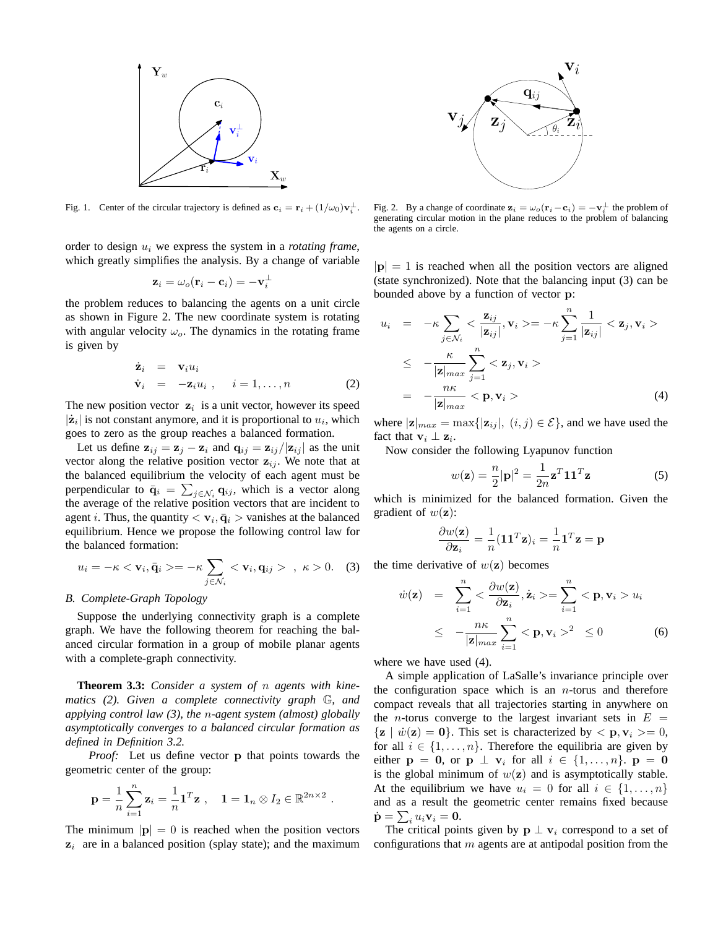

Fig. 1. Center of the circular trajectory is defined as  $\mathbf{c}_i = \mathbf{r}_i + (1/\omega_0)\mathbf{v}_i^{\perp}$ .

order to design  $u_i$  we express the system in a *rotating frame*, which greatly simplifies the analysis. By a change of variable

$$
\mathbf{z}_i = \omega_o(\mathbf{r}_i - \mathbf{c}_i) = -\mathbf{v}_i^{\perp}
$$

the problem reduces to balancing the agents on a unit circle as shown in Figure 2. The new coordinate system is rotating with angular velocity  $\omega_o$ . The dynamics in the rotating frame is given by

$$
\dot{\mathbf{z}}_i = \mathbf{v}_i u_i \n\dot{\mathbf{v}}_i = -\mathbf{z}_i u_i, \quad i = 1, ..., n
$$
\n(2)

The new position vector  $z_i$  is a unit vector, however its speed  $|\dot{z}_i|$  is not constant anymore, and it is proportional to  $u_i$ , which goes to zero as the group reaches a balanced formation.

Let us define  $z_{ij} = z_j - z_i$  and  $q_{ij} = z_{ij}/|z_{ij}|$  as the unit vector along the relative position vector  $z_{ij}$ . We note that at the balanced equilibrium the velocity of each agent must be P perpendicular to  $\bar{\mathbf{q}}_i = \sum_{j \in \mathcal{N}_i} \mathbf{q}_{ij}$ , which is a vector along the average of the relative position vectors that are incident to agent *i*. Thus, the quantity  $\langle \mathbf{v}_i, \bar{\mathbf{q}}_i \rangle$  vanishes at the balanced equilibrium. Hence we propose the following control law for the balanced formation:

$$
u_i = -\kappa < \mathbf{v}_i, \bar{\mathbf{q}}_i \geq -\kappa \sum_{j \in \mathcal{N}_i} < \mathbf{v}_i, \mathbf{q}_{ij} > \ldots \kappa > 0. \tag{3}
$$

# *B. Complete-Graph Topology*

Suppose the underlying connectivity graph is a complete graph. We have the following theorem for reaching the balanced circular formation in a group of mobile planar agents with a complete-graph connectivity.

**Theorem 3.3:** *Consider a system of* n *agents with kinematics (2). Given a complete connectivity graph* G*, and applying control law (3), the* n*-agent system (almost) globally asymptotically converges to a balanced circular formation as defined in Definition 3.2.*

Proof: Let us define vector p that points towards the geometric center of the group:

$$
\mathbf{p} = \frac{1}{n} \sum_{i=1}^{n} \mathbf{z}_i = \frac{1}{n} \mathbf{1}^T \mathbf{z} \ , \quad \mathbf{1} = \mathbf{1}_n \otimes I_2 \in \mathbb{R}^{2n \times 2} .
$$

The minimum  $|\mathbf{p}| = 0$  is reached when the position vectors  $z_i$  are in a balanced position (splay state); and the maximum



Fig. 2. By a change of coordinate  $\mathbf{z}_i = \omega_o(\mathbf{r}_i - \mathbf{c}_i) = -\mathbf{v}_i^{\perp}$  the problem of generating circular motion in the plane reduces to the problem of balancing the agents on a circle.

 $|{\bf p}| = 1$  is reached when all the position vectors are aligned (state synchronized). Note that the balancing input (3) can be bounded above by a function of vector p:

$$
u_i = -\kappa \sum_{j \in \mathcal{N}_i} < \frac{\mathbf{z}_{ij}}{|\mathbf{z}_{ij}|}, \mathbf{v}_i \geq -\kappa \sum_{j=1}^n \frac{1}{|\mathbf{z}_{ij}|} < \mathbf{z}_j, \mathbf{v}_i \geq \frac{\kappa}{|\mathbf{z}| |\mathbf{z}_{\text{max}}|} \sum_{j=1}^n < \mathbf{z}_j, \mathbf{v}_i \geq \frac{\kappa}{|\mathbf{z}| |\mathbf{z}| \mathbf{z}_{\text{max}}} < \mathbf{z}_j, \mathbf{v}_i \geq \frac{\kappa}{|\mathbf{z}| |\mathbf{z}_{\text{max}}} < \mathbf{p}, \mathbf{v}_i \geq \tag{4}
$$

where  $|\mathbf{z}|_{max} = \max\{|\mathbf{z}_{ij}|, (i,j) \in \mathcal{E}\}\$ , and we have used the fact that  $\mathbf{v}_i \perp \mathbf{z}_i$ .

Now consider the following Lyapunov function

$$
w(\mathbf{z}) = \frac{n}{2} |\mathbf{p}|^2 = \frac{1}{2n} \mathbf{z}^T \mathbf{1} \mathbf{1}^T \mathbf{z}
$$
 (5)

which is minimized for the balanced formation. Given the gradient of  $w(\mathbf{z})$ :

$$
\frac{\partial w(\mathbf{z})}{\partial \mathbf{z}_i} = \frac{1}{n} (\mathbf{1}\mathbf{1}^T \mathbf{z})_i = \frac{1}{n} \mathbf{1}^T \mathbf{z} = \mathbf{p}
$$

the time derivative of  $w(\mathbf{z})$  becomes

$$
\dot{w}(\mathbf{z}) = \sum_{i=1}^{n} < \frac{\partial w(\mathbf{z})}{\partial \mathbf{z}_i}, \dot{\mathbf{z}}_i > = \sum_{i=1}^{n} <\mathbf{p}, \mathbf{v}_i > u_i
$$
\n
$$
\leq -\frac{n\kappa}{|\mathbf{z}|_{max}} \sum_{i=1}^{n} <\mathbf{p}, \mathbf{v}_i >^2 \leq 0 \tag{6}
$$

where we have used (4).

A simple application of LaSalle's invariance principle over the configuration space which is an  $n$ -torus and therefore compact reveals that all trajectories starting in anywhere on the *n*-torus converge to the largest invariant sets in  $E =$  $\{z \mid \dot{w}(z) = 0\}$ . This set is characterized by  $\langle p, v_i \rangle = 0$ , for all  $i \in \{1, \ldots, n\}$ . Therefore the equilibria are given by either  $p = 0$ , or  $p \perp v_i$  for all  $i \in \{1, ..., n\}$ .  $p = 0$ is the global minimum of  $w(z)$  and is asymptotically stable. At the equilibrium we have  $u_i = 0$  for all  $i \in \{1, \ldots, n\}$ and as a result the geometric center remains fixed because P  $\dot{\mathbf{p}} = \sum_i u_i \mathbf{v}_i = \mathbf{0}.$ 

The critical points given by  $\mathbf{p} \perp \mathbf{v}_i$  correspond to a set of configurations that  $m$  agents are at antipodal position from the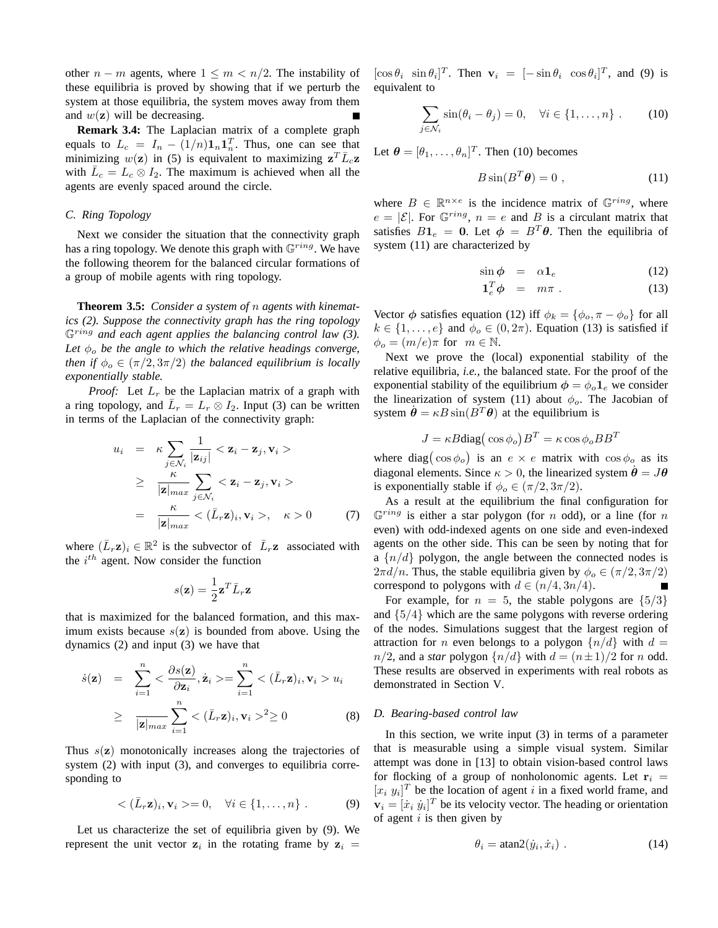other  $n - m$  agents, where  $1 \leq m \leq n/2$ . The instability of these equilibria is proved by showing that if we perturb the system at those equilibria, the system moves away from them and  $w(\mathbf{z})$  will be decreasing.

**Remark 3.4:** The Laplacian matrix of a complete graph equals to  $L_c = I_n - (1/n) \mathbf{1}_n \mathbf{1}_n^T$ . Thus, one can see that minimizing  $w(z)$  in (5) is equivalent to maximizing  $z^T \overline{L}_c z$ with  $\overline{L}_c = L_c \otimes I_2$ . The maximum is achieved when all the agents are evenly spaced around the circle.

# *C. Ring Topology*

Next we consider the situation that the connectivity graph has a ring topology. We denote this graph with  $\mathbb{G}^{ring}$ . We have the following theorem for the balanced circular formations of a group of mobile agents with ring topology.

**Theorem 3.5:** *Consider a system of* n *agents with kinematics (2). Suppose the connectivity graph has the ring topology* Gring *and each agent applies the balancing control law (3).* Let  $\phi_o$  be the angle to which the relative headings converge, *then if*  $\phi_o \in (\pi/2, 3\pi/2)$  *the balanced equilibrium is locally exponentially stable.*

*Proof:* Let  $L_r$  be the Laplacian matrix of a graph with a ring topology, and  $\bar{L}_r = L_r \otimes I_2$ . Input (3) can be written in terms of the Laplacian of the connectivity graph:

$$
u_i = \kappa \sum_{j \in \mathcal{N}_i} \frac{1}{|\mathbf{z}_{ij}|} < \mathbf{z}_i - \mathbf{z}_j, \mathbf{v}_i > \\
\geq \frac{\kappa}{|\mathbf{z}|_{max}} \sum_{j \in \mathcal{N}_i} < \mathbf{z}_i - \mathbf{z}_j, \mathbf{v}_i > \\
= \frac{\kappa}{|\mathbf{z}|_{max}} < (\bar{L}_r \mathbf{z})_i, \mathbf{v}_i > , \quad \kappa > 0 \tag{7}
$$

where  $(\bar{L}_r \mathbf{z})_i \in \mathbb{R}^2$  is the subvector of  $\bar{L}_r \mathbf{z}$  associated with the  $i^{th}$  agent. Now consider the function

$$
s(\mathbf{z}) = \frac{1}{2}\mathbf{z}^T \bar{L}_r \mathbf{z}
$$

that is maximized for the balanced formation, and this maximum exists because  $s(z)$  is bounded from above. Using the dynamics (2) and input (3) we have that

$$
\dot{s}(\mathbf{z}) = \sum_{i=1}^{n} \langle \frac{\partial s(\mathbf{z})}{\partial \mathbf{z}_i}, \dot{\mathbf{z}}_i \rangle = \sum_{i=1}^{n} \langle (\bar{L}_r \mathbf{z})_i, \mathbf{v}_i \rangle u_i
$$
  
\n
$$
\geq \frac{1}{|\mathbf{z}|_{max}} \sum_{i=1}^{n} \langle (\bar{L}_r \mathbf{z})_i, \mathbf{v}_i \rangle^2 \geq 0
$$
 (8)

Thus  $s(z)$  monotonically increases along the trajectories of system (2) with input (3), and converges to equilibria corresponding to

$$
\langle (\bar{L}_r \mathbf{z})_i, \mathbf{v}_i \rangle = 0, \quad \forall i \in \{1, \dots, n\} . \tag{9}
$$

Let us characterize the set of equilibria given by (9). We represent the unit vector  $z_i$  in the rotating frame by  $z_i =$ 

 $[\cos \theta_i \sin \theta_i]^T$ . Then  $\mathbf{v}_i = [-\sin \theta_i \cos \theta_i]^T$ , and (9) is equivalent to

$$
\sum_{j \in \mathcal{N}_i} \sin(\theta_i - \theta_j) = 0, \quad \forall i \in \{1, \dots, n\} .
$$
 (10)

Let  $\boldsymbol{\theta} = [\theta_1, \dots, \theta_n]^T$ . Then (10) becomes

$$
B\sin(B^T\theta) = 0 \tag{11}
$$

where  $B \in \mathbb{R}^{n \times e}$  is the incidence matrix of  $\mathbb{G}^{ring}$ , where  $e = |\mathcal{E}|$ . For  $\mathbb{G}^{ring}$ ,  $n = e$  and B is a circulant matrix that satisfies  $B1_e = 0$ . Let  $\phi = B^T \theta$ . Then the equilibria of system (11) are characterized by

$$
\sin \phi = \alpha \mathbf{1}_e \tag{12}
$$

$$
\mathbf{1}_e^T \boldsymbol{\phi} = m\pi \ . \tag{13}
$$

Vector  $\phi$  satisfies equation (12) iff  $\phi_k = {\phi_o, \pi - \phi_o}$  for all  $k \in \{1, \ldots, e\}$  and  $\phi_o \in (0, 2\pi)$ . Equation (13) is satisfied if  $\phi_o = (m/e)\pi$  for  $m \in \mathbb{N}$ .

Next we prove the (local) exponential stability of the relative equilibria, *i.e.,* the balanced state. For the proof of the exponential stability of the equilibrium  $\phi = \phi_o \mathbf{1}_e$  we consider the linearization of system (11) about  $\phi_o$ . The Jacobian of system  $\dot{\theta} = \kappa B \sin(B^T \theta)$  at the equilibrium is

$$
J = \kappa B \text{diag}(\cos \phi_o) B^T = \kappa \cos \phi_o B B^T
$$

where diag( $\cos \phi_o$ is an  $e \times e$  matrix with  $\cos \phi_o$  as its diagonal elements. Since  $\kappa > 0$ , the linearized system  $\dot{\theta} = J\theta$ is exponentially stable if  $\phi_o \in (\pi/2, 3\pi/2)$ .

As a result at the equilibrium the final configuration for  $\mathbb{G}^{ring}$  is either a star polygon (for n odd), or a line (for n even) with odd-indexed agents on one side and even-indexed agents on the other side. This can be seen by noting that for a  ${n/d}$  polygon, the angle between the connected nodes is  $2\pi d/n$ . Thus, the stable equilibria given by  $\phi_o \in (\pi/2, 3\pi/2)$ correspond to polygons with  $d \in (n/4, 3n/4)$ .

For example, for  $n = 5$ , the stable polygons are  $\{5/3\}$ and  $\{5/4\}$  which are the same polygons with reverse ordering of the nodes. Simulations suggest that the largest region of attraction for *n* even belongs to a polygon  $\{n/d\}$  with  $d =$  $n/2$ , and a *star* polygon  $\{n/d\}$  with  $d = (n \pm 1)/2$  for n odd. These results are observed in experiments with real robots as demonstrated in Section V.

# *D. Bearing-based control law*

In this section, we write input (3) in terms of a parameter that is measurable using a simple visual system. Similar attempt was done in [13] to obtain vision-based control laws for flocking of a group of nonholonomic agents. Let  $r_i$  =  $[x_i\ y_i]^T$  be the location of agent i in a fixed world frame, and  $\mathbf{v}_i = [\dot{x}_i \ \dot{y}_i]^T$  be its velocity vector. The heading or orientation of agent  $i$  is then given by

$$
\theta_i = \operatorname{atan2}(\dot{y}_i, \dot{x}_i) \tag{14}
$$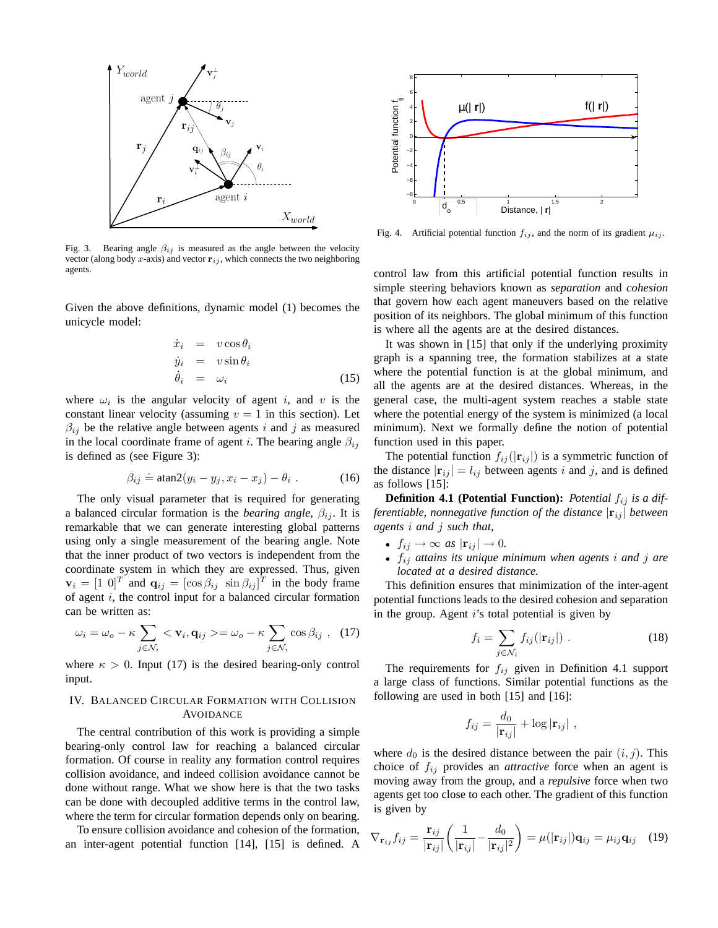

Fig. 3. Bearing angle  $\beta_{ij}$  is measured as the angle between the velocity vector (along body x-axis) and vector  $\mathbf{r}_{ij}$ , which connects the two neighboring agents.

Given the above definitions, dynamic model (1) becomes the unicycle model:

$$
\dot{x}_i = v \cos \theta_i \n\dot{y}_i = v \sin \theta_i \n\dot{\theta}_i = \omega_i
$$
\n(15)

where  $\omega_i$  is the angular velocity of agent i, and v is the constant linear velocity (assuming  $v = 1$  in this section). Let  $\beta_{ij}$  be the relative angle between agents i and j as measured in the local coordinate frame of agent *i*. The bearing angle  $\beta_{ij}$ is defined as (see Figure 3):

$$
\beta_{ij} \doteq \text{atan2}(y_i - y_j, x_i - x_j) - \theta_i \tag{16}
$$

The only visual parameter that is required for generating a balanced circular formation is the *bearing angle*,  $\beta_{ij}$ . It is remarkable that we can generate interesting global patterns using only a single measurement of the bearing angle. Note that the inner product of two vectors is independent from the coordinate system in which they are expressed. Thus, given  $\mathbf{v}_i = \begin{bmatrix} 1 & 0 \end{bmatrix}^T$  and  $\mathbf{q}_{ij} = [\cos \beta_{ij} \sin \beta_{ij}]^T$  in the body frame of agent  $i$ , the control input for a balanced circular formation can be written as:

$$
\omega_i = \omega_o - \kappa \sum_{j \in \mathcal{N}_i} < \mathbf{v}_i, \mathbf{q}_{ij} > = \omega_o - \kappa \sum_{j \in \mathcal{N}_i} \cos \beta_{ij} \tag{17}
$$

where  $\kappa > 0$ . Input (17) is the desired bearing-only control input.

# IV. BALANCED CIRCULAR FORMATION WITH COLLISION AVOIDANCE

The central contribution of this work is providing a simple bearing-only control law for reaching a balanced circular formation. Of course in reality any formation control requires collision avoidance, and indeed collision avoidance cannot be done without range. What we show here is that the two tasks can be done with decoupled additive terms in the control law, where the term for circular formation depends only on bearing.

To ensure collision avoidance and cohesion of the formation, an inter-agent potential function [14], [15] is defined. A



Fig. 4. Artificial potential function  $f_{ij}$ , and the norm of its gradient  $\mu_{ij}$ .

control law from this artificial potential function results in simple steering behaviors known as *separation* and *cohesion* that govern how each agent maneuvers based on the relative position of its neighbors. The global minimum of this function is where all the agents are at the desired distances.

It was shown in [15] that only if the underlying proximity graph is a spanning tree, the formation stabilizes at a state where the potential function is at the global minimum, and all the agents are at the desired distances. Whereas, in the general case, the multi-agent system reaches a stable state where the potential energy of the system is minimized (a local minimum). Next we formally define the notion of potential function used in this paper.

The potential function  $f_{ij}(|\mathbf{r}_{ij}|)$  is a symmetric function of the distance  $|\mathbf{r}_{ij}| = l_{ij}$  between agents i and j, and is defined as follows [15]:

**Definition 4.1 (Potential Function):** *Potential*  $f_{ij}$  *is a differentiable, nonnegative function of the distance*  $|r_{ij}|$  *between agents* i *and* j *such that,*

- $f_{ij} \rightarrow \infty$  *as*  $|\mathbf{r}_{ij}| \rightarrow 0$ *.*
- fij *attains its unique minimum when agents* i *and* j *are located at a desired distance.*

This definition ensures that minimization of the inter-agent potential functions leads to the desired cohesion and separation in the group. Agent  $i$ 's total potential is given by

$$
f_i = \sum_{j \in \mathcal{N}_i} f_{ij}(|\mathbf{r}_{ij}|) \ . \tag{18}
$$

The requirements for  $f_{ij}$  given in Definition 4.1 support a large class of functions. Similar potential functions as the following are used in both [15] and [16]:

$$
f_{ij} = \frac{d_0}{|\mathbf{r}_{ij}|} + \log |\mathbf{r}_{ij}|,
$$

where  $d_0$  is the desired distance between the pair  $(i, j)$ . This choice of fij provides an *attractive* force when an agent is moving away from the group, and a *repulsive* force when two agents get too close to each other. The gradient of this function is given by

$$
\nabla_{\mathbf{r}_{ij}} f_{ij} = \frac{\mathbf{r}_{ij}}{|\mathbf{r}_{ij}|} \left( \frac{1}{|\mathbf{r}_{ij}|} - \frac{d_0}{|\mathbf{r}_{ij}|^2} \right) = \mu(|\mathbf{r}_{ij}|) \mathbf{q}_{ij} = \mu_{ij} \mathbf{q}_{ij} \quad (19)
$$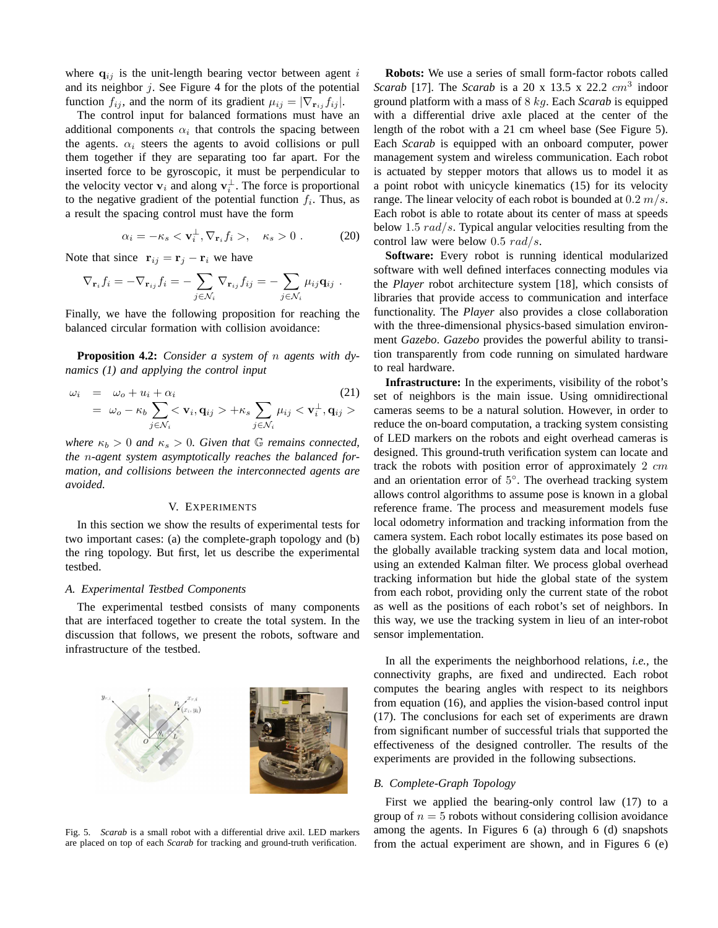where  $q_{ij}$  is the unit-length bearing vector between agent i and its neighbor  $j$ . See Figure 4 for the plots of the potential function  $f_{ij}$ , and the norm of its gradient  $\mu_{ij} = |\nabla_{\mathbf{r}_{ij}} f_{ij}|$ .

The control input for balanced formations must have an additional components  $\alpha_i$  that controls the spacing between the agents.  $\alpha_i$  steers the agents to avoid collisions or pull them together if they are separating too far apart. For the inserted force to be gyroscopic, it must be perpendicular to the velocity vector  $\mathbf{v}_i$  and along  $\mathbf{v}_i^{\perp}$ . The force is proportional to the negative gradient of the potential function  $f_i$ . Thus, as a result the spacing control must have the form

$$
\alpha_i = -\kappa_s < \mathbf{v}_i^{\perp}, \nabla_{\mathbf{r}_i} f_i > , \quad \kappa_s > 0 \; . \tag{20}
$$

Note that since  $\mathbf{r}_{ij} = \mathbf{r}_j - \mathbf{r}_i$  we have

$$
\nabla_{\mathbf{r}_i} f_i = -\nabla_{\mathbf{r}_{ij}} f_i = -\sum_{j \in \mathcal{N}_i} \nabla_{\mathbf{r}_{ij}} f_{ij} = -\sum_{j \in \mathcal{N}_i} \mu_{ij} \mathbf{q}_{ij} .
$$

Finally, we have the following proposition for reaching the balanced circular formation with collision avoidance:

**Proposition 4.2:** *Consider a system of* n *agents with dynamics (1) and applying the control input*

$$
\omega_i = \omega_o + u_i + \alpha_i \tag{21}
$$
\n
$$
= \omega_o - \kappa_b \sum_{j \in \mathcal{N}_i} \langle \mathbf{v}_i, \mathbf{q}_{ij} \rangle + \kappa_s \sum_{j \in \mathcal{N}_i} \mu_{ij} \langle \mathbf{v}_i^{\perp}, \mathbf{q}_{ij} \rangle
$$

*where*  $\kappa_b > 0$  *and*  $\kappa_s > 0$ *. Given that* G *remains connected, the* n*-agent system asymptotically reaches the balanced formation, and collisions between the interconnected agents are avoided.*

## V. EXPERIMENTS

In this section we show the results of experimental tests for two important cases: (a) the complete-graph topology and (b) the ring topology. But first, let us describe the experimental testbed.

#### *A. Experimental Testbed Components*

The experimental testbed consists of many components that are interfaced together to create the total system. In the discussion that follows, we present the robots, software and infrastructure of the testbed.



Fig. 5. *Scarab* is a small robot with a differential drive axil. LED markers are placed on top of each *Scarab* for tracking and ground-truth verification.

**Robots:** We use a series of small form-factor robots called *Scarab* [17]. The *Scarab* is a 20 x 13.5 x 22.2  $cm<sup>3</sup>$  indoor ground platform with a mass of 8 kg. Each *Scarab* is equipped with a differential drive axle placed at the center of the length of the robot with a 21 cm wheel base (See Figure 5). Each *Scarab* is equipped with an onboard computer, power management system and wireless communication. Each robot is actuated by stepper motors that allows us to model it as a point robot with unicycle kinematics (15) for its velocity range. The linear velocity of each robot is bounded at  $0.2 \, m/s$ . Each robot is able to rotate about its center of mass at speeds below 1.5  $rad/s$ . Typical angular velocities resulting from the control law were below 0.5 rad/s.

**Software:** Every robot is running identical modularized software with well defined interfaces connecting modules via the *Player* robot architecture system [18], which consists of libraries that provide access to communication and interface functionality. The *Player* also provides a close collaboration with the three-dimensional physics-based simulation environment *Gazebo*. *Gazebo* provides the powerful ability to transition transparently from code running on simulated hardware to real hardware.

**Infrastructure:** In the experiments, visibility of the robot's set of neighbors is the main issue. Using omnidirectional cameras seems to be a natural solution. However, in order to reduce the on-board computation, a tracking system consisting of LED markers on the robots and eight overhead cameras is designed. This ground-truth verification system can locate and track the robots with position error of approximately 2 cm and an orientation error of 5°. The overhead tracking system allows control algorithms to assume pose is known in a global reference frame. The process and measurement models fuse local odometry information and tracking information from the camera system. Each robot locally estimates its pose based on the globally available tracking system data and local motion, using an extended Kalman filter. We process global overhead tracking information but hide the global state of the system from each robot, providing only the current state of the robot as well as the positions of each robot's set of neighbors. In this way, we use the tracking system in lieu of an inter-robot sensor implementation.

In all the experiments the neighborhood relations, *i.e.,* the connectivity graphs, are fixed and undirected. Each robot computes the bearing angles with respect to its neighbors from equation (16), and applies the vision-based control input (17). The conclusions for each set of experiments are drawn from significant number of successful trials that supported the effectiveness of the designed controller. The results of the experiments are provided in the following subsections.

# *B. Complete-Graph Topology*

First we applied the bearing-only control law (17) to a group of  $n = 5$  robots without considering collision avoidance among the agents. In Figures 6 (a) through 6 (d) snapshots from the actual experiment are shown, and in Figures 6 (e)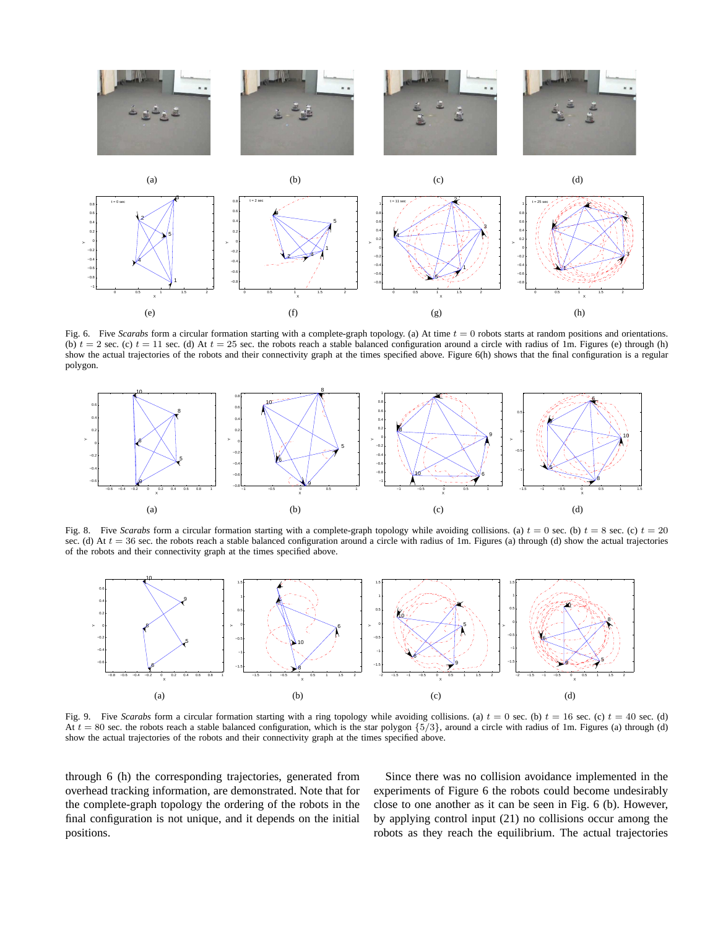

Fig. 6. Five *Scarabs* form a circular formation starting with a complete-graph topology. (a) At time  $t = 0$  robots starts at random positions and orientations. (b)  $t = 2$  sec. (c)  $t = 11$  sec. (d) At  $t = 25$  sec. the robots reach a stable balanced configuration around a circle with radius of 1m. Figures (e) through (h) show the actual trajectories of the robots and their connectivity graph at the times specified above. Figure 6(h) shows that the final configuration is a regular polygon.



Fig. 8. Five *Scarabs* form a circular formation starting with a complete-graph topology while avoiding collisions. (a)  $t = 0$  sec. (b)  $t = 8$  sec. (c)  $t = 20$ sec. (d) At  $t = 36$  sec. the robots reach a stable balanced configuration around a circle with radius of 1m. Figures (a) through (d) show the actual trajectories of the robots and their connectivity graph at the times specified above.



Fig. 9. Five *Scarabs* form a circular formation starting with a ring topology while avoiding collisions. (a)  $t = 0$  sec. (b)  $t = 16$  sec. (c)  $t = 40$  sec. (d) At  $t = 80$  sec. the robots reach a stable balanced configuration, which is the star polygon  $\{5/3\}$ , around a circle with radius of 1m. Figures (a) through (d) show the actual trajectories of the robots and their connectivity graph at the times specified above.

through 6 (h) the corresponding trajectories, generated from overhead tracking information, are demonstrated. Note that for the complete-graph topology the ordering of the robots in the final configuration is not unique, and it depends on the initial positions.

Since there was no collision avoidance implemented in the experiments of Figure 6 the robots could become undesirably close to one another as it can be seen in Fig. 6 (b). However, by applying control input (21) no collisions occur among the robots as they reach the equilibrium. The actual trajectories